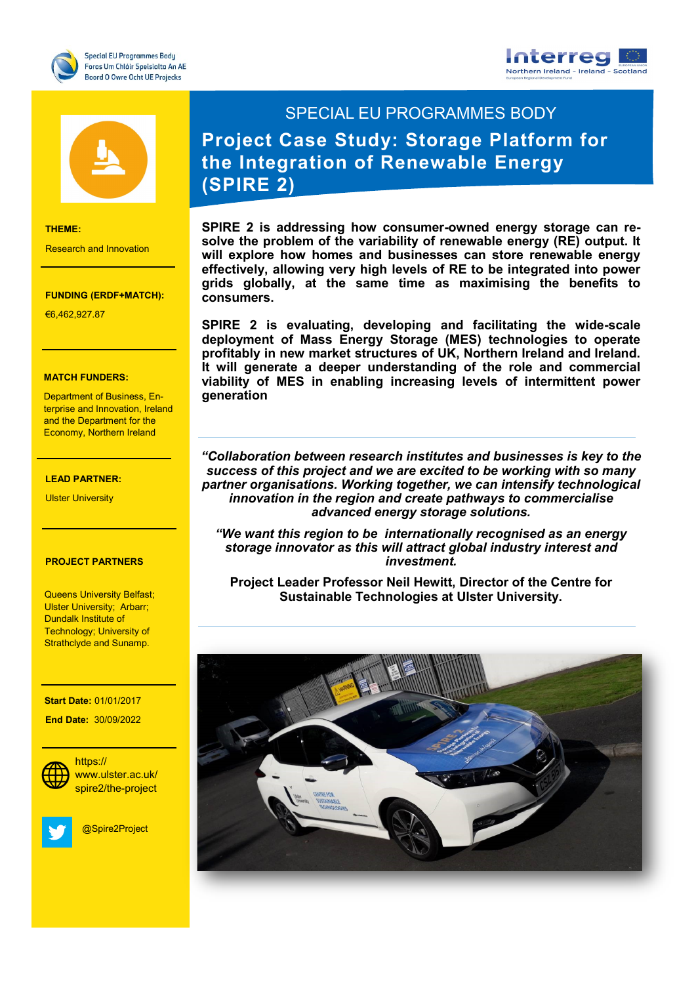





## **THEME:**

Research and Innovation

## **FUNDING (ERDF+MATCH):**

€6,462,927.87

## **MATCH FUNDERS:**

Department of Business, En<mark>-</mark> terprise and Innovation, Ireland and the Department for the Economy, Northern Ireland

Research and Innovation

## €7,727,271.20 **LEAD PARTNER:**

**Ulster University** 

## **PROJECT PARTNERS**

Queens University Belfast; **Dister Shiversity, A**<br>Dundalk Institute of Ulster University; Arbarr; Technology; University of Strathclyde and Sunamp.

#### **Start Date:** 01/01/2017

 **End Date:** 30/09/2022



**Social Media:** spire2/the-project https:// www.ulster.ac.uk/

Keith.Thornbury@dkit.ie

@Spire2Project

# SPECIAL EU PROGRAMMES BODY **Project Case Study: Storage Platform for the Integration of Renewable Energy (SPIRE 2)**

**SPIRE 2 is addressing how consumer-owned energy storage can resolve the problem of the variability of renewable energy (RE) output. It will explore how homes and businesses can store renewable energy effectively, allowing very high levels of RE to be integrated into power grids globally, at the same time as maximising the benefits to consumers.**

**SPIRE 2 is evaluating, developing and facilitating the wide-scale deployment of Mass Energy Storage (MES) technologies to operate profitably in new market structures of UK, Northern Ireland and Ireland. It will generate a deeper understanding of the role and commercial viability of MES in enabling increasing levels of intermittent power generation**

*"Collaboration between research institutes and businesses is key to the success of this project and we are excited to be working with so many partner organisations. Working together, we can intensify technological innovation in the region and create pathways to commercialise advanced energy storage solutions.* 

*"We want this region to be internationally recognised as an energy storage innovator as this will attract global industry interest and investment.*

**Project Leader Professor Neil Hewitt, Director of the Centre for Sustainable Technologies at Ulster University.**